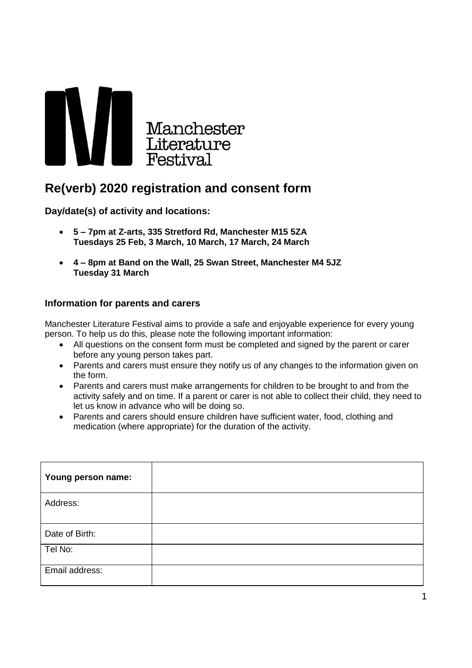

## **Re(verb) 2020 registration and consent form**

**Day/date(s) of activity and locations:**

- **5 – 7pm at Z-arts, 335 Stretford Rd, Manchester M15 5ZA Tuesdays 25 Feb, 3 March, 10 March, 17 March, 24 March**
- **4 – 8pm at Band on the Wall, 25 Swan Street, Manchester M4 5JZ Tuesday 31 March**

## **Information for parents and carers**

Manchester Literature Festival aims to provide a safe and enjoyable experience for every young person. To help us do this, please note the following important information:

- All questions on the consent form must be completed and signed by the parent or carer before any young person takes part.
- Parents and carers must ensure they notify us of any changes to the information given on the form.
- Parents and carers must make arrangements for children to be brought to and from the activity safely and on time. If a parent or carer is not able to collect their child, they need to let us know in advance who will be doing so.
- Parents and carers should ensure children have sufficient water, food, clothing and medication (where appropriate) for the duration of the activity.

| Young person name: |  |
|--------------------|--|
| Address:           |  |
| Date of Birth:     |  |
| Tel No:            |  |
| Email address:     |  |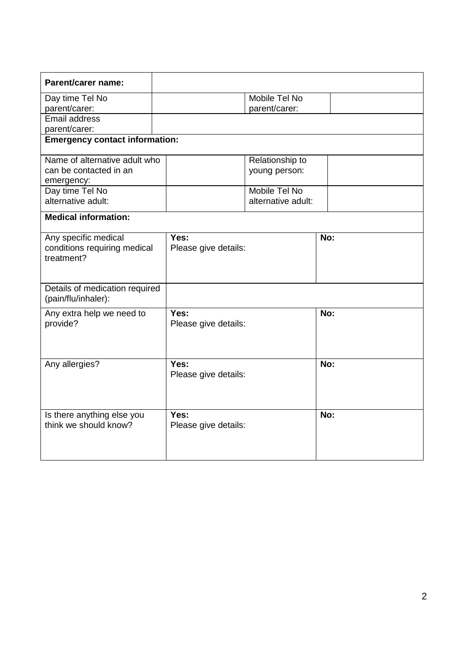| Parent/carer name:                                                 |                              |                    |     |  |  |
|--------------------------------------------------------------------|------------------------------|--------------------|-----|--|--|
| Day time Tel No                                                    |                              | Mobile Tel No      |     |  |  |
| parent/carer:                                                      |                              | parent/carer:      |     |  |  |
| Email address                                                      |                              |                    |     |  |  |
| parent/carer:                                                      |                              |                    |     |  |  |
| <b>Emergency contact information:</b>                              |                              |                    |     |  |  |
| Name of alternative adult who                                      |                              | Relationship to    |     |  |  |
| can be contacted in an                                             |                              | young person:      |     |  |  |
| emergency:                                                         |                              |                    |     |  |  |
| Day time Tel No                                                    |                              | Mobile Tel No      |     |  |  |
| alternative adult:                                                 |                              | alternative adult: |     |  |  |
| <b>Medical information:</b>                                        |                              |                    |     |  |  |
| Any specific medical<br>conditions requiring medical<br>treatment? | Yes:<br>Please give details: |                    | No: |  |  |
| Details of medication required<br>(pain/flu/inhaler):              |                              |                    |     |  |  |
| Any extra help we need to<br>provide?                              | Yes:<br>Please give details: |                    | No: |  |  |
| Any allergies?                                                     | Yes:<br>Please give details: |                    | No: |  |  |
| Is there anything else you<br>think we should know?                | Yes:<br>Please give details: |                    | No: |  |  |